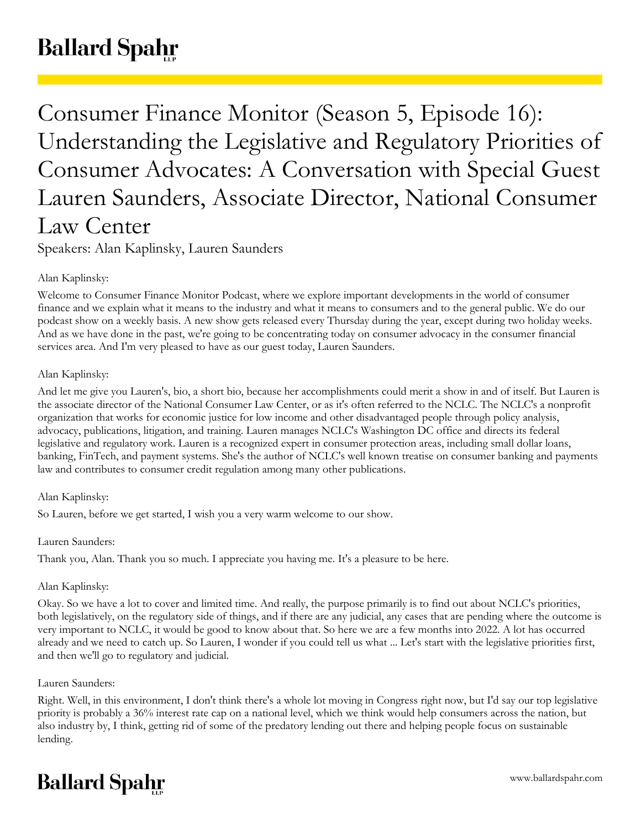# **Ballard Spahr**

Consumer Finance Monitor (Season 5, Episode 16): Understanding the Legislative and Regulatory Priorities of Consumer Advocates: A Conversation with Special Guest Lauren Saunders, Associate Director, National Consumer Law Center

Speakers: Alan Kaplinsky, Lauren Saunders

## Alan Kaplinsky:

Welcome to Consumer Finance Monitor Podcast, where we explore important developments in the world of consumer finance and we explain what it means to the industry and what it means to consumers and to the general public. We do our podcast show on a weekly basis. A new show gets released every Thursday during the year, except during two holiday weeks. And as we have done in the past, we're going to be concentrating today on consumer advocacy in the consumer financial services area. And I'm very pleased to have as our guest today, Lauren Saunders.

## Alan Kaplinsky:

And let me give you Lauren's, bio, a short bio, because her accomplishments could merit a show in and of itself. But Lauren is the associate director of the National Consumer Law Center, or as it's often referred to the NCLC. The NCLC's a nonprofit organization that works for economic justice for low income and other disadvantaged people through policy analysis, advocacy, publications, litigation, and training. Lauren manages NCLC's Washington DC office and directs its federal legislative and regulatory work. Lauren is a recognized expert in consumer protection areas, including small dollar loans, banking, FinTech, and payment systems. She's the author of NCLC's well known treatise on consumer banking and payments law and contributes to consumer credit regulation among many other publications.

## Alan Kaplinsky:

So Lauren, before we get started, I wish you a very warm welcome to our show.

## Lauren Saunders:

Thank you, Alan. Thank you so much. I appreciate you having me. It's a pleasure to be here.

## Alan Kaplinsky:

Okay. So we have a lot to cover and limited time. And really, the purpose primarily is to find out about NCLC's priorities, both legislatively, on the regulatory side of things, and if there are any judicial, any cases that are pending where the outcome is very important to NCLC, it would be good to know about that. So here we are a few months into 2022. A lot has occurred already and we need to catch up. So Lauren, I wonder if you could tell us what ... Let's start with the legislative priorities first, and then we'll go to regulatory and judicial.

## Lauren Saunders:

Right. Well, in this environment, I don't think there's a whole lot moving in Congress right now, but I'd say our top legislative priority is probably a 36% interest rate cap on a national level, which we think would help consumers across the nation, but also industry by, I think, getting rid of some of the predatory lending out there and helping people focus on sustainable lending.

## **Ballard Spahr**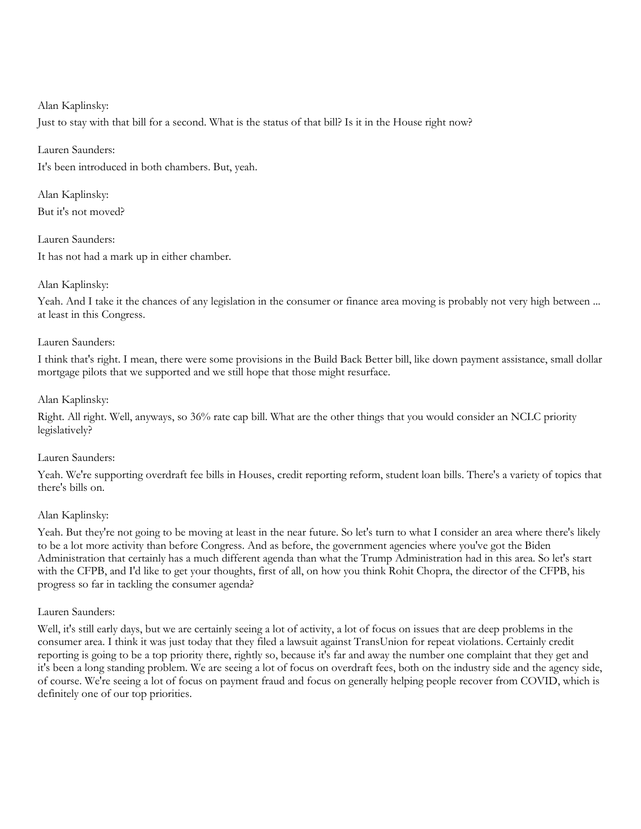#### Alan Kaplinsky:

Just to stay with that bill for a second. What is the status of that bill? Is it in the House right now?

## Lauren Saunders:

It's been introduced in both chambers. But, yeah.

Alan Kaplinsky: But it's not moved?

Lauren Saunders: It has not had a mark up in either chamber.

## Alan Kaplinsky:

Yeah. And I take it the chances of any legislation in the consumer or finance area moving is probably not very high between ... at least in this Congress.

#### Lauren Saunders:

I think that's right. I mean, there were some provisions in the Build Back Better bill, like down payment assistance, small dollar mortgage pilots that we supported and we still hope that those might resurface.

#### Alan Kaplinsky:

Right. All right. Well, anyways, so 36% rate cap bill. What are the other things that you would consider an NCLC priority legislatively?

#### Lauren Saunders:

Yeah. We're supporting overdraft fee bills in Houses, credit reporting reform, student loan bills. There's a variety of topics that there's bills on.

## Alan Kaplinsky:

Yeah. But they're not going to be moving at least in the near future. So let's turn to what I consider an area where there's likely to be a lot more activity than before Congress. And as before, the government agencies where you've got the Biden Administration that certainly has a much different agenda than what the Trump Administration had in this area. So let's start with the CFPB, and I'd like to get your thoughts, first of all, on how you think Rohit Chopra, the director of the CFPB, his progress so far in tackling the consumer agenda?

#### Lauren Saunders:

Well, it's still early days, but we are certainly seeing a lot of activity, a lot of focus on issues that are deep problems in the consumer area. I think it was just today that they filed a lawsuit against TransUnion for repeat violations. Certainly credit reporting is going to be a top priority there, rightly so, because it's far and away the number one complaint that they get and it's been a long standing problem. We are seeing a lot of focus on overdraft fees, both on the industry side and the agency side, of course. We're seeing a lot of focus on payment fraud and focus on generally helping people recover from COVID, which is definitely one of our top priorities.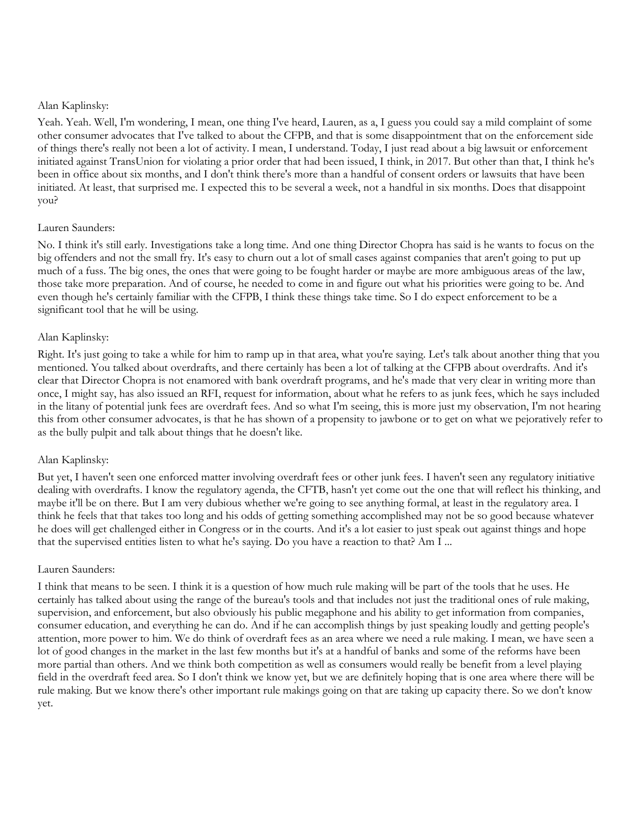#### Alan Kaplinsky:

Yeah. Yeah. Well, I'm wondering, I mean, one thing I've heard, Lauren, as a, I guess you could say a mild complaint of some other consumer advocates that I've talked to about the CFPB, and that is some disappointment that on the enforcement side of things there's really not been a lot of activity. I mean, I understand. Today, I just read about a big lawsuit or enforcement initiated against TransUnion for violating a prior order that had been issued, I think, in 2017. But other than that, I think he's been in office about six months, and I don't think there's more than a handful of consent orders or lawsuits that have been initiated. At least, that surprised me. I expected this to be several a week, not a handful in six months. Does that disappoint you?

## Lauren Saunders:

No. I think it's still early. Investigations take a long time. And one thing Director Chopra has said is he wants to focus on the big offenders and not the small fry. It's easy to churn out a lot of small cases against companies that aren't going to put up much of a fuss. The big ones, the ones that were going to be fought harder or maybe are more ambiguous areas of the law, those take more preparation. And of course, he needed to come in and figure out what his priorities were going to be. And even though he's certainly familiar with the CFPB, I think these things take time. So I do expect enforcement to be a significant tool that he will be using.

#### Alan Kaplinsky:

Right. It's just going to take a while for him to ramp up in that area, what you're saying. Let's talk about another thing that you mentioned. You talked about overdrafts, and there certainly has been a lot of talking at the CFPB about overdrafts. And it's clear that Director Chopra is not enamored with bank overdraft programs, and he's made that very clear in writing more than once, I might say, has also issued an RFI, request for information, about what he refers to as junk fees, which he says included in the litany of potential junk fees are overdraft fees. And so what I'm seeing, this is more just my observation, I'm not hearing this from other consumer advocates, is that he has shown of a propensity to jawbone or to get on what we pejoratively refer to as the bully pulpit and talk about things that he doesn't like.

#### Alan Kaplinsky:

But yet, I haven't seen one enforced matter involving overdraft fees or other junk fees. I haven't seen any regulatory initiative dealing with overdrafts. I know the regulatory agenda, the CFTB, hasn't yet come out the one that will reflect his thinking, and maybe it'll be on there. But I am very dubious whether we're going to see anything formal, at least in the regulatory area. I think he feels that that takes too long and his odds of getting something accomplished may not be so good because whatever he does will get challenged either in Congress or in the courts. And it's a lot easier to just speak out against things and hope that the supervised entities listen to what he's saying. Do you have a reaction to that? Am I ...

#### Lauren Saunders:

I think that means to be seen. I think it is a question of how much rule making will be part of the tools that he uses. He certainly has talked about using the range of the bureau's tools and that includes not just the traditional ones of rule making, supervision, and enforcement, but also obviously his public megaphone and his ability to get information from companies, consumer education, and everything he can do. And if he can accomplish things by just speaking loudly and getting people's attention, more power to him. We do think of overdraft fees as an area where we need a rule making. I mean, we have seen a lot of good changes in the market in the last few months but it's at a handful of banks and some of the reforms have been more partial than others. And we think both competition as well as consumers would really be benefit from a level playing field in the overdraft feed area. So I don't think we know yet, but we are definitely hoping that is one area where there will be rule making. But we know there's other important rule makings going on that are taking up capacity there. So we don't know yet.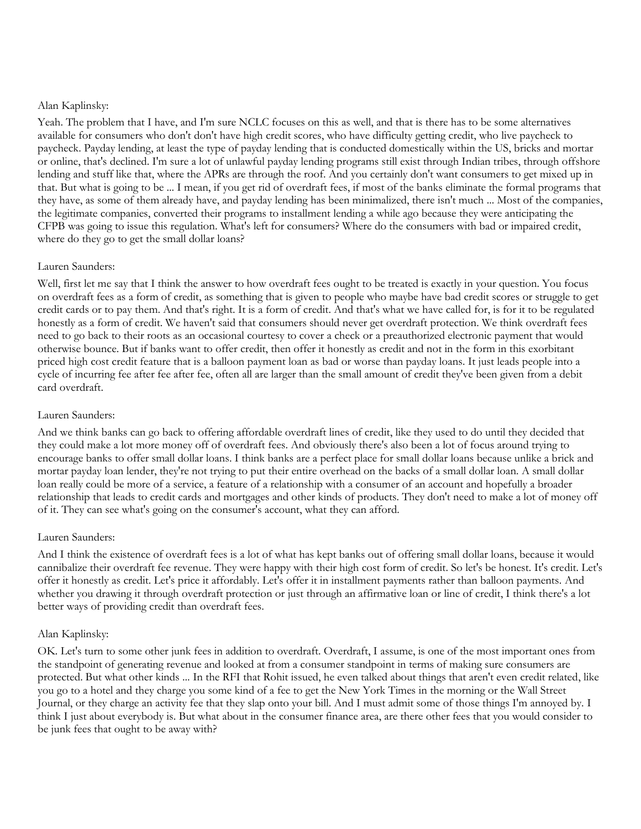#### Alan Kaplinsky:

Yeah. The problem that I have, and I'm sure NCLC focuses on this as well, and that is there has to be some alternatives available for consumers who don't don't have high credit scores, who have difficulty getting credit, who live paycheck to paycheck. Payday lending, at least the type of payday lending that is conducted domestically within the US, bricks and mortar or online, that's declined. I'm sure a lot of unlawful payday lending programs still exist through Indian tribes, through offshore lending and stuff like that, where the APRs are through the roof. And you certainly don't want consumers to get mixed up in that. But what is going to be ... I mean, if you get rid of overdraft fees, if most of the banks eliminate the formal programs that they have, as some of them already have, and payday lending has been minimalized, there isn't much ... Most of the companies, the legitimate companies, converted their programs to installment lending a while ago because they were anticipating the CFPB was going to issue this regulation. What's left for consumers? Where do the consumers with bad or impaired credit, where do they go to get the small dollar loans?

#### Lauren Saunders:

Well, first let me say that I think the answer to how overdraft fees ought to be treated is exactly in your question. You focus on overdraft fees as a form of credit, as something that is given to people who maybe have bad credit scores or struggle to get credit cards or to pay them. And that's right. It is a form of credit. And that's what we have called for, is for it to be regulated honestly as a form of credit. We haven't said that consumers should never get overdraft protection. We think overdraft fees need to go back to their roots as an occasional courtesy to cover a check or a preauthorized electronic payment that would otherwise bounce. But if banks want to offer credit, then offer it honestly as credit and not in the form in this exorbitant priced high cost credit feature that is a balloon payment loan as bad or worse than payday loans. It just leads people into a cycle of incurring fee after fee after fee, often all are larger than the small amount of credit they've been given from a debit card overdraft.

#### Lauren Saunders:

And we think banks can go back to offering affordable overdraft lines of credit, like they used to do until they decided that they could make a lot more money off of overdraft fees. And obviously there's also been a lot of focus around trying to encourage banks to offer small dollar loans. I think banks are a perfect place for small dollar loans because unlike a brick and mortar payday loan lender, they're not trying to put their entire overhead on the backs of a small dollar loan. A small dollar loan really could be more of a service, a feature of a relationship with a consumer of an account and hopefully a broader relationship that leads to credit cards and mortgages and other kinds of products. They don't need to make a lot of money off of it. They can see what's going on the consumer's account, what they can afford.

#### Lauren Saunders:

And I think the existence of overdraft fees is a lot of what has kept banks out of offering small dollar loans, because it would cannibalize their overdraft fee revenue. They were happy with their high cost form of credit. So let's be honest. It's credit. Let's offer it honestly as credit. Let's price it affordably. Let's offer it in installment payments rather than balloon payments. And whether you drawing it through overdraft protection or just through an affirmative loan or line of credit, I think there's a lot better ways of providing credit than overdraft fees.

#### Alan Kaplinsky:

OK. Let's turn to some other junk fees in addition to overdraft. Overdraft, I assume, is one of the most important ones from the standpoint of generating revenue and looked at from a consumer standpoint in terms of making sure consumers are protected. But what other kinds ... In the RFI that Rohit issued, he even talked about things that aren't even credit related, like you go to a hotel and they charge you some kind of a fee to get the New York Times in the morning or the Wall Street Journal, or they charge an activity fee that they slap onto your bill. And I must admit some of those things I'm annoyed by. I think I just about everybody is. But what about in the consumer finance area, are there other fees that you would consider to be junk fees that ought to be away with?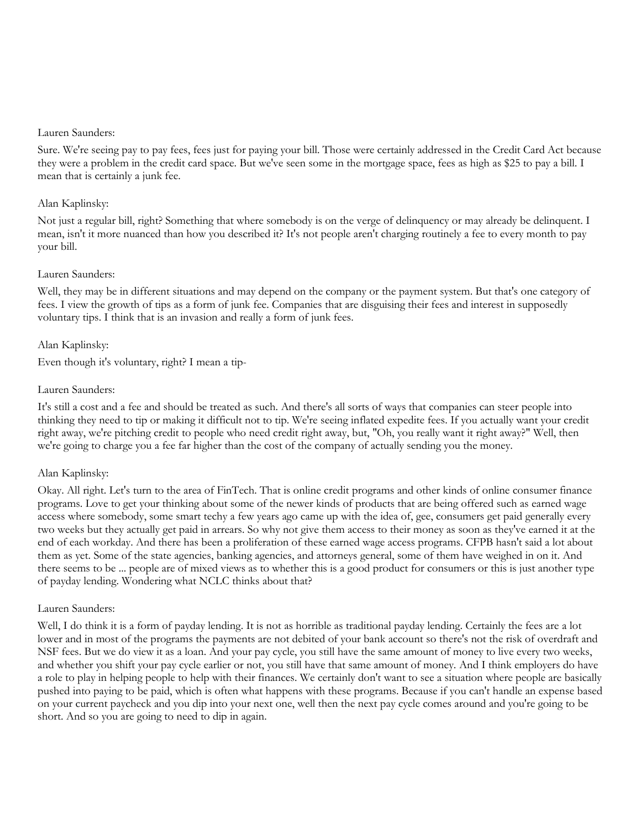Sure. We're seeing pay to pay fees, fees just for paying your bill. Those were certainly addressed in the Credit Card Act because they were a problem in the credit card space. But we've seen some in the mortgage space, fees as high as \$25 to pay a bill. I mean that is certainly a junk fee.

#### Alan Kaplinsky:

Not just a regular bill, right? Something that where somebody is on the verge of delinquency or may already be delinquent. I mean, isn't it more nuanced than how you described it? It's not people aren't charging routinely a fee to every month to pay your bill.

#### Lauren Saunders:

Well, they may be in different situations and may depend on the company or the payment system. But that's one category of fees. I view the growth of tips as a form of junk fee. Companies that are disguising their fees and interest in supposedly voluntary tips. I think that is an invasion and really a form of junk fees.

#### Alan Kaplinsky:

Even though it's voluntary, right? I mean a tip-

#### Lauren Saunders:

It's still a cost and a fee and should be treated as such. And there's all sorts of ways that companies can steer people into thinking they need to tip or making it difficult not to tip. We're seeing inflated expedite fees. If you actually want your credit right away, we're pitching credit to people who need credit right away, but, "Oh, you really want it right away?" Well, then we're going to charge you a fee far higher than the cost of the company of actually sending you the money.

## Alan Kaplinsky:

Okay. All right. Let's turn to the area of FinTech. That is online credit programs and other kinds of online consumer finance programs. Love to get your thinking about some of the newer kinds of products that are being offered such as earned wage access where somebody, some smart techy a few years ago came up with the idea of, gee, consumers get paid generally every two weeks but they actually get paid in arrears. So why not give them access to their money as soon as they've earned it at the end of each workday. And there has been a proliferation of these earned wage access programs. CFPB hasn't said a lot about them as yet. Some of the state agencies, banking agencies, and attorneys general, some of them have weighed in on it. And there seems to be ... people are of mixed views as to whether this is a good product for consumers or this is just another type of payday lending. Wondering what NCLC thinks about that?

#### Lauren Saunders:

Well, I do think it is a form of payday lending. It is not as horrible as traditional payday lending. Certainly the fees are a lot lower and in most of the programs the payments are not debited of your bank account so there's not the risk of overdraft and NSF fees. But we do view it as a loan. And your pay cycle, you still have the same amount of money to live every two weeks, and whether you shift your pay cycle earlier or not, you still have that same amount of money. And I think employers do have a role to play in helping people to help with their finances. We certainly don't want to see a situation where people are basically pushed into paying to be paid, which is often what happens with these programs. Because if you can't handle an expense based on your current paycheck and you dip into your next one, well then the next pay cycle comes around and you're going to be short. And so you are going to need to dip in again.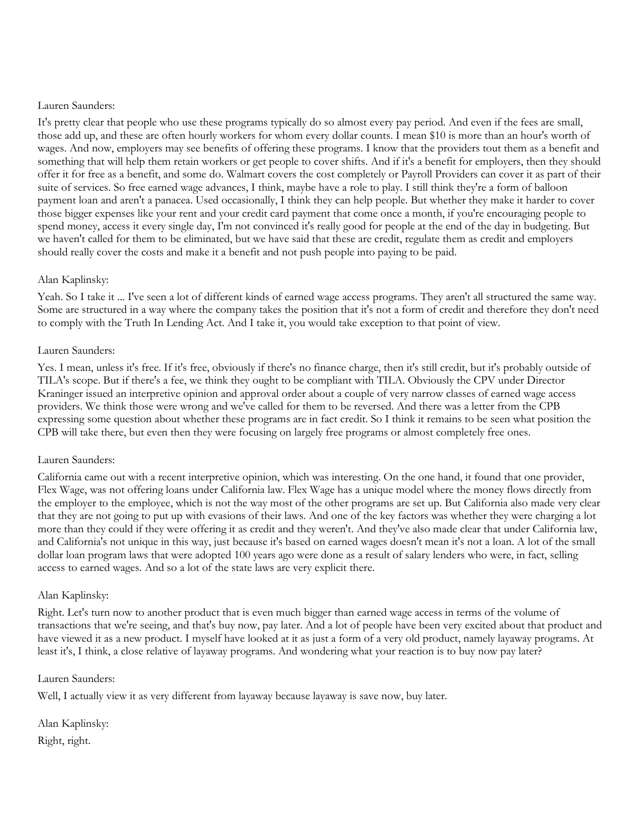It's pretty clear that people who use these programs typically do so almost every pay period. And even if the fees are small, those add up, and these are often hourly workers for whom every dollar counts. I mean \$10 is more than an hour's worth of wages. And now, employers may see benefits of offering these programs. I know that the providers tout them as a benefit and something that will help them retain workers or get people to cover shifts. And if it's a benefit for employers, then they should offer it for free as a benefit, and some do. Walmart covers the cost completely or Payroll Providers can cover it as part of their suite of services. So free earned wage advances, I think, maybe have a role to play. I still think they're a form of balloon payment loan and aren't a panacea. Used occasionally, I think they can help people. But whether they make it harder to cover those bigger expenses like your rent and your credit card payment that come once a month, if you're encouraging people to spend money, access it every single day, I'm not convinced it's really good for people at the end of the day in budgeting. But we haven't called for them to be eliminated, but we have said that these are credit, regulate them as credit and employers should really cover the costs and make it a benefit and not push people into paying to be paid.

#### Alan Kaplinsky:

Yeah. So I take it ... I've seen a lot of different kinds of earned wage access programs. They aren't all structured the same way. Some are structured in a way where the company takes the position that it's not a form of credit and therefore they don't need to comply with the Truth In Lending Act. And I take it, you would take exception to that point of view.

#### Lauren Saunders:

Yes. I mean, unless it's free. If it's free, obviously if there's no finance charge, then it's still credit, but it's probably outside of TILA's scope. But if there's a fee, we think they ought to be compliant with TILA. Obviously the CPV under Director Kraninger issued an interpretive opinion and approval order about a couple of very narrow classes of earned wage access providers. We think those were wrong and we've called for them to be reversed. And there was a letter from the CPB expressing some question about whether these programs are in fact credit. So I think it remains to be seen what position the CPB will take there, but even then they were focusing on largely free programs or almost completely free ones.

#### Lauren Saunders:

California came out with a recent interpretive opinion, which was interesting. On the one hand, it found that one provider, Flex Wage, was not offering loans under California law. Flex Wage has a unique model where the money flows directly from the employer to the employee, which is not the way most of the other programs are set up. But California also made very clear that they are not going to put up with evasions of their laws. And one of the key factors was whether they were charging a lot more than they could if they were offering it as credit and they weren't. And they've also made clear that under California law, and California's not unique in this way, just because it's based on earned wages doesn't mean it's not a loan. A lot of the small dollar loan program laws that were adopted 100 years ago were done as a result of salary lenders who were, in fact, selling access to earned wages. And so a lot of the state laws are very explicit there.

#### Alan Kaplinsky:

Right. Let's turn now to another product that is even much bigger than earned wage access in terms of the volume of transactions that we're seeing, and that's buy now, pay later. And a lot of people have been very excited about that product and have viewed it as a new product. I myself have looked at it as just a form of a very old product, namely layaway programs. At least it's, I think, a close relative of layaway programs. And wondering what your reaction is to buy now pay later?

#### Lauren Saunders:

Well, I actually view it as very different from layaway because layaway is save now, buy later.

Alan Kaplinsky: Right, right.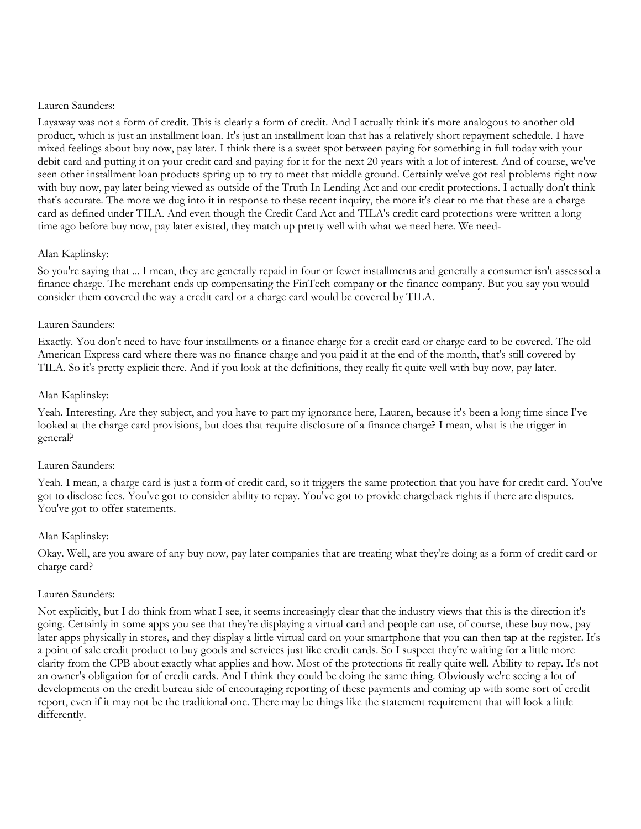Layaway was not a form of credit. This is clearly a form of credit. And I actually think it's more analogous to another old product, which is just an installment loan. It's just an installment loan that has a relatively short repayment schedule. I have mixed feelings about buy now, pay later. I think there is a sweet spot between paying for something in full today with your debit card and putting it on your credit card and paying for it for the next 20 years with a lot of interest. And of course, we've seen other installment loan products spring up to try to meet that middle ground. Certainly we've got real problems right now with buy now, pay later being viewed as outside of the Truth In Lending Act and our credit protections. I actually don't think that's accurate. The more we dug into it in response to these recent inquiry, the more it's clear to me that these are a charge card as defined under TILA. And even though the Credit Card Act and TILA's credit card protections were written a long time ago before buy now, pay later existed, they match up pretty well with what we need here. We need-

#### Alan Kaplinsky:

So you're saying that ... I mean, they are generally repaid in four or fewer installments and generally a consumer isn't assessed a finance charge. The merchant ends up compensating the FinTech company or the finance company. But you say you would consider them covered the way a credit card or a charge card would be covered by TILA.

#### Lauren Saunders:

Exactly. You don't need to have four installments or a finance charge for a credit card or charge card to be covered. The old American Express card where there was no finance charge and you paid it at the end of the month, that's still covered by TILA. So it's pretty explicit there. And if you look at the definitions, they really fit quite well with buy now, pay later.

#### Alan Kaplinsky:

Yeah. Interesting. Are they subject, and you have to part my ignorance here, Lauren, because it's been a long time since I've looked at the charge card provisions, but does that require disclosure of a finance charge? I mean, what is the trigger in general?

#### Lauren Saunders:

Yeah. I mean, a charge card is just a form of credit card, so it triggers the same protection that you have for credit card. You've got to disclose fees. You've got to consider ability to repay. You've got to provide chargeback rights if there are disputes. You've got to offer statements.

#### Alan Kaplinsky:

Okay. Well, are you aware of any buy now, pay later companies that are treating what they're doing as a form of credit card or charge card?

#### Lauren Saunders:

Not explicitly, but I do think from what I see, it seems increasingly clear that the industry views that this is the direction it's going. Certainly in some apps you see that they're displaying a virtual card and people can use, of course, these buy now, pay later apps physically in stores, and they display a little virtual card on your smartphone that you can then tap at the register. It's a point of sale credit product to buy goods and services just like credit cards. So I suspect they're waiting for a little more clarity from the CPB about exactly what applies and how. Most of the protections fit really quite well. Ability to repay. It's not an owner's obligation for of credit cards. And I think they could be doing the same thing. Obviously we're seeing a lot of developments on the credit bureau side of encouraging reporting of these payments and coming up with some sort of credit report, even if it may not be the traditional one. There may be things like the statement requirement that will look a little differently.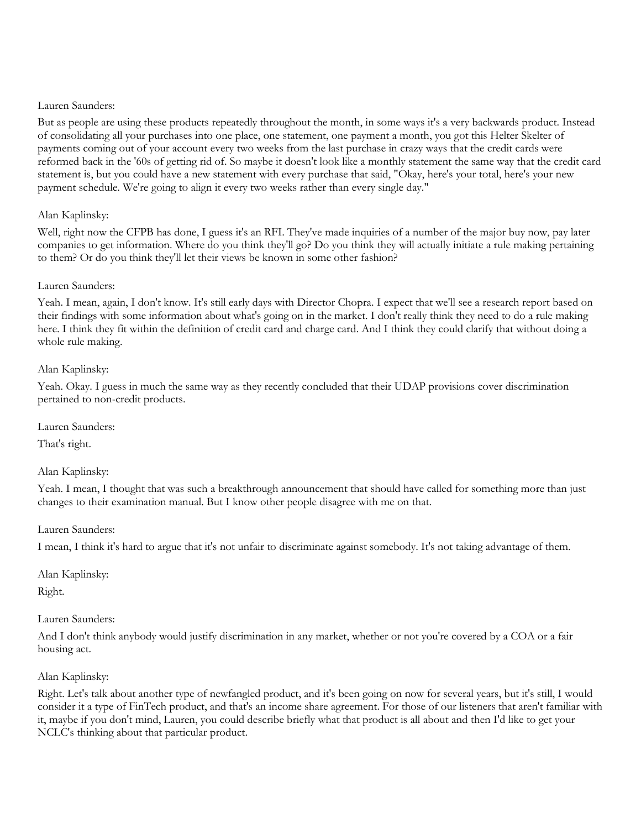But as people are using these products repeatedly throughout the month, in some ways it's a very backwards product. Instead of consolidating all your purchases into one place, one statement, one payment a month, you got this Helter Skelter of payments coming out of your account every two weeks from the last purchase in crazy ways that the credit cards were reformed back in the '60s of getting rid of. So maybe it doesn't look like a monthly statement the same way that the credit card statement is, but you could have a new statement with every purchase that said, "Okay, here's your total, here's your new payment schedule. We're going to align it every two weeks rather than every single day."

## Alan Kaplinsky:

Well, right now the CFPB has done, I guess it's an RFI. They've made inquiries of a number of the major buy now, pay later companies to get information. Where do you think they'll go? Do you think they will actually initiate a rule making pertaining to them? Or do you think they'll let their views be known in some other fashion?

#### Lauren Saunders:

Yeah. I mean, again, I don't know. It's still early days with Director Chopra. I expect that we'll see a research report based on their findings with some information about what's going on in the market. I don't really think they need to do a rule making here. I think they fit within the definition of credit card and charge card. And I think they could clarify that without doing a whole rule making.

## Alan Kaplinsky:

Yeah. Okay. I guess in much the same way as they recently concluded that their UDAP provisions cover discrimination pertained to non-credit products.

Lauren Saunders:

That's right.

## Alan Kaplinsky:

Yeah. I mean, I thought that was such a breakthrough announcement that should have called for something more than just changes to their examination manual. But I know other people disagree with me on that.

Lauren Saunders:

I mean, I think it's hard to argue that it's not unfair to discriminate against somebody. It's not taking advantage of them.

Alan Kaplinsky:

Right.

#### Lauren Saunders:

And I don't think anybody would justify discrimination in any market, whether or not you're covered by a COA or a fair housing act.

#### Alan Kaplinsky:

Right. Let's talk about another type of newfangled product, and it's been going on now for several years, but it's still, I would consider it a type of FinTech product, and that's an income share agreement. For those of our listeners that aren't familiar with it, maybe if you don't mind, Lauren, you could describe briefly what that product is all about and then I'd like to get your NCLC's thinking about that particular product.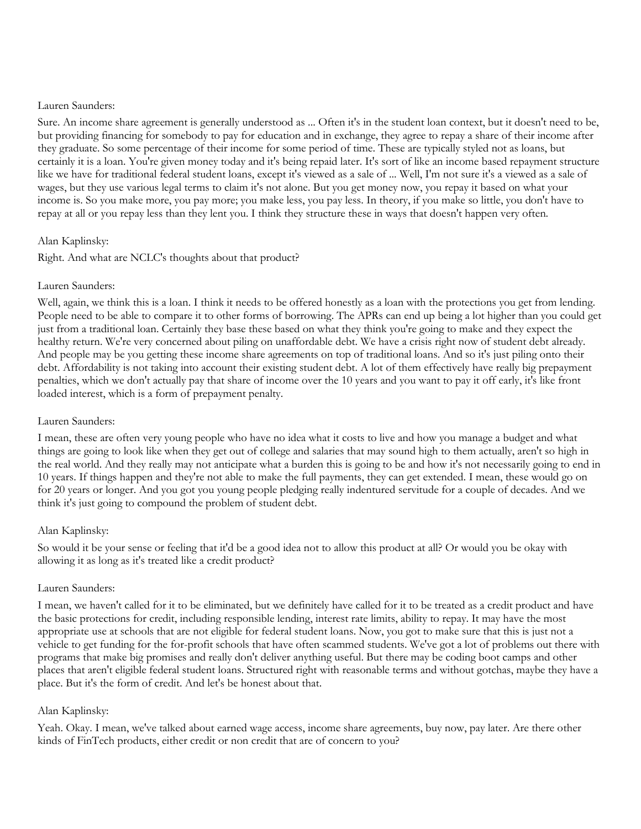Sure. An income share agreement is generally understood as ... Often it's in the student loan context, but it doesn't need to be, but providing financing for somebody to pay for education and in exchange, they agree to repay a share of their income after they graduate. So some percentage of their income for some period of time. These are typically styled not as loans, but certainly it is a loan. You're given money today and it's being repaid later. It's sort of like an income based repayment structure like we have for traditional federal student loans, except it's viewed as a sale of ... Well, I'm not sure it's a viewed as a sale of wages, but they use various legal terms to claim it's not alone. But you get money now, you repay it based on what your income is. So you make more, you pay more; you make less, you pay less. In theory, if you make so little, you don't have to repay at all or you repay less than they lent you. I think they structure these in ways that doesn't happen very often.

#### Alan Kaplinsky:

Right. And what are NCLC's thoughts about that product?

#### Lauren Saunders:

Well, again, we think this is a loan. I think it needs to be offered honestly as a loan with the protections you get from lending. People need to be able to compare it to other forms of borrowing. The APRs can end up being a lot higher than you could get just from a traditional loan. Certainly they base these based on what they think you're going to make and they expect the healthy return. We're very concerned about piling on unaffordable debt. We have a crisis right now of student debt already. And people may be you getting these income share agreements on top of traditional loans. And so it's just piling onto their debt. Affordability is not taking into account their existing student debt. A lot of them effectively have really big prepayment penalties, which we don't actually pay that share of income over the 10 years and you want to pay it off early, it's like front loaded interest, which is a form of prepayment penalty.

## Lauren Saunders:

I mean, these are often very young people who have no idea what it costs to live and how you manage a budget and what things are going to look like when they get out of college and salaries that may sound high to them actually, aren't so high in the real world. And they really may not anticipate what a burden this is going to be and how it's not necessarily going to end in 10 years. If things happen and they're not able to make the full payments, they can get extended. I mean, these would go on for 20 years or longer. And you got you young people pledging really indentured servitude for a couple of decades. And we think it's just going to compound the problem of student debt.

#### Alan Kaplinsky:

So would it be your sense or feeling that it'd be a good idea not to allow this product at all? Or would you be okay with allowing it as long as it's treated like a credit product?

#### Lauren Saunders:

I mean, we haven't called for it to be eliminated, but we definitely have called for it to be treated as a credit product and have the basic protections for credit, including responsible lending, interest rate limits, ability to repay. It may have the most appropriate use at schools that are not eligible for federal student loans. Now, you got to make sure that this is just not a vehicle to get funding for the for-profit schools that have often scammed students. We've got a lot of problems out there with programs that make big promises and really don't deliver anything useful. But there may be coding boot camps and other places that aren't eligible federal student loans. Structured right with reasonable terms and without gotchas, maybe they have a place. But it's the form of credit. And let's be honest about that.

#### Alan Kaplinsky:

Yeah. Okay. I mean, we've talked about earned wage access, income share agreements, buy now, pay later. Are there other kinds of FinTech products, either credit or non credit that are of concern to you?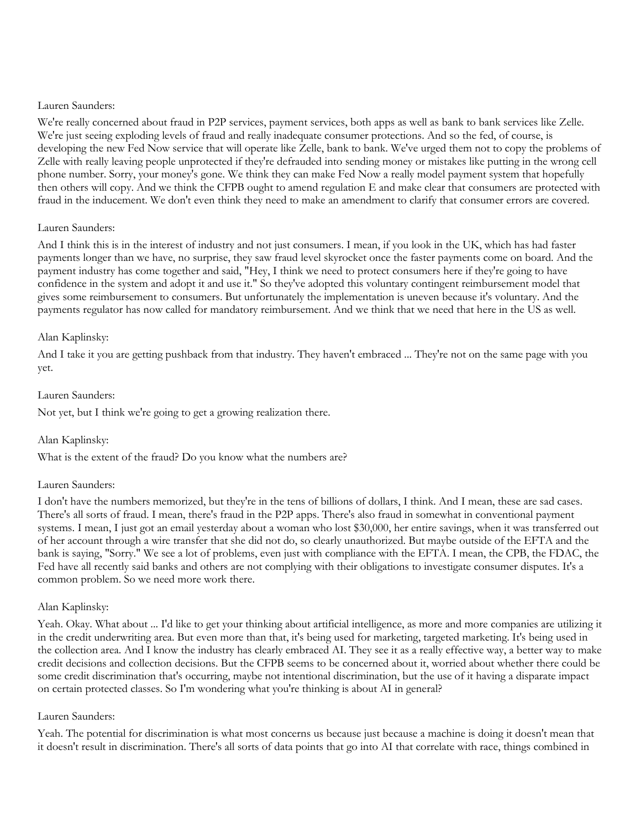We're really concerned about fraud in P2P services, payment services, both apps as well as bank to bank services like Zelle. We're just seeing exploding levels of fraud and really inadequate consumer protections. And so the fed, of course, is developing the new Fed Now service that will operate like Zelle, bank to bank. We've urged them not to copy the problems of Zelle with really leaving people unprotected if they're defrauded into sending money or mistakes like putting in the wrong cell phone number. Sorry, your money's gone. We think they can make Fed Now a really model payment system that hopefully then others will copy. And we think the CFPB ought to amend regulation E and make clear that consumers are protected with fraud in the inducement. We don't even think they need to make an amendment to clarify that consumer errors are covered.

#### Lauren Saunders:

And I think this is in the interest of industry and not just consumers. I mean, if you look in the UK, which has had faster payments longer than we have, no surprise, they saw fraud level skyrocket once the faster payments come on board. And the payment industry has come together and said, "Hey, I think we need to protect consumers here if they're going to have confidence in the system and adopt it and use it." So they've adopted this voluntary contingent reimbursement model that gives some reimbursement to consumers. But unfortunately the implementation is uneven because it's voluntary. And the payments regulator has now called for mandatory reimbursement. And we think that we need that here in the US as well.

#### Alan Kaplinsky:

And I take it you are getting pushback from that industry. They haven't embraced ... They're not on the same page with you yet.

#### Lauren Saunders:

Not yet, but I think we're going to get a growing realization there.

Alan Kaplinsky:

What is the extent of the fraud? Do you know what the numbers are?

#### Lauren Saunders:

I don't have the numbers memorized, but they're in the tens of billions of dollars, I think. And I mean, these are sad cases. There's all sorts of fraud. I mean, there's fraud in the P2P apps. There's also fraud in somewhat in conventional payment systems. I mean, I just got an email yesterday about a woman who lost \$30,000, her entire savings, when it was transferred out of her account through a wire transfer that she did not do, so clearly unauthorized. But maybe outside of the EFTA and the bank is saying, "Sorry." We see a lot of problems, even just with compliance with the EFTA. I mean, the CPB, the FDAC, the Fed have all recently said banks and others are not complying with their obligations to investigate consumer disputes. It's a common problem. So we need more work there.

## Alan Kaplinsky:

Yeah. Okay. What about ... I'd like to get your thinking about artificial intelligence, as more and more companies are utilizing it in the credit underwriting area. But even more than that, it's being used for marketing, targeted marketing. It's being used in the collection area. And I know the industry has clearly embraced AI. They see it as a really effective way, a better way to make credit decisions and collection decisions. But the CFPB seems to be concerned about it, worried about whether there could be some credit discrimination that's occurring, maybe not intentional discrimination, but the use of it having a disparate impact on certain protected classes. So I'm wondering what you're thinking is about AI in general?

#### Lauren Saunders:

Yeah. The potential for discrimination is what most concerns us because just because a machine is doing it doesn't mean that it doesn't result in discrimination. There's all sorts of data points that go into AI that correlate with race, things combined in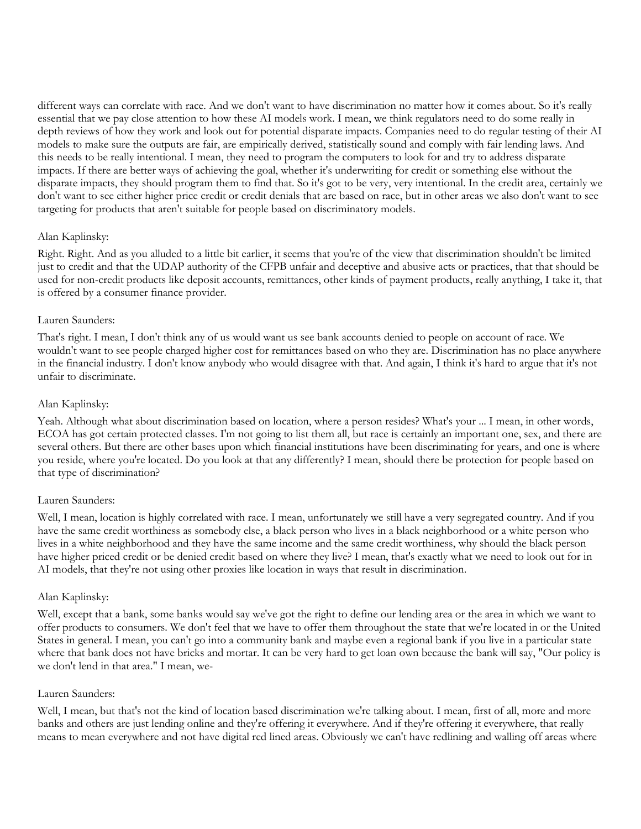different ways can correlate with race. And we don't want to have discrimination no matter how it comes about. So it's really essential that we pay close attention to how these AI models work. I mean, we think regulators need to do some really in depth reviews of how they work and look out for potential disparate impacts. Companies need to do regular testing of their AI models to make sure the outputs are fair, are empirically derived, statistically sound and comply with fair lending laws. And this needs to be really intentional. I mean, they need to program the computers to look for and try to address disparate impacts. If there are better ways of achieving the goal, whether it's underwriting for credit or something else without the disparate impacts, they should program them to find that. So it's got to be very, very intentional. In the credit area, certainly we don't want to see either higher price credit or credit denials that are based on race, but in other areas we also don't want to see targeting for products that aren't suitable for people based on discriminatory models.

## Alan Kaplinsky:

Right. Right. And as you alluded to a little bit earlier, it seems that you're of the view that discrimination shouldn't be limited just to credit and that the UDAP authority of the CFPB unfair and deceptive and abusive acts or practices, that that should be used for non-credit products like deposit accounts, remittances, other kinds of payment products, really anything, I take it, that is offered by a consumer finance provider.

#### Lauren Saunders:

That's right. I mean, I don't think any of us would want us see bank accounts denied to people on account of race. We wouldn't want to see people charged higher cost for remittances based on who they are. Discrimination has no place anywhere in the financial industry. I don't know anybody who would disagree with that. And again, I think it's hard to argue that it's not unfair to discriminate.

#### Alan Kaplinsky:

Yeah. Although what about discrimination based on location, where a person resides? What's your ... I mean, in other words, ECOA has got certain protected classes. I'm not going to list them all, but race is certainly an important one, sex, and there are several others. But there are other bases upon which financial institutions have been discriminating for years, and one is where you reside, where you're located. Do you look at that any differently? I mean, should there be protection for people based on that type of discrimination?

#### Lauren Saunders:

Well, I mean, location is highly correlated with race. I mean, unfortunately we still have a very segregated country. And if you have the same credit worthiness as somebody else, a black person who lives in a black neighborhood or a white person who lives in a white neighborhood and they have the same income and the same credit worthiness, why should the black person have higher priced credit or be denied credit based on where they live? I mean, that's exactly what we need to look out for in AI models, that they're not using other proxies like location in ways that result in discrimination.

#### Alan Kaplinsky:

Well, except that a bank, some banks would say we've got the right to define our lending area or the area in which we want to offer products to consumers. We don't feel that we have to offer them throughout the state that we're located in or the United States in general. I mean, you can't go into a community bank and maybe even a regional bank if you live in a particular state where that bank does not have bricks and mortar. It can be very hard to get loan own because the bank will say, "Our policy is we don't lend in that area." I mean, we-

#### Lauren Saunders:

Well, I mean, but that's not the kind of location based discrimination we're talking about. I mean, first of all, more and more banks and others are just lending online and they're offering it everywhere. And if they're offering it everywhere, that really means to mean everywhere and not have digital red lined areas. Obviously we can't have redlining and walling off areas where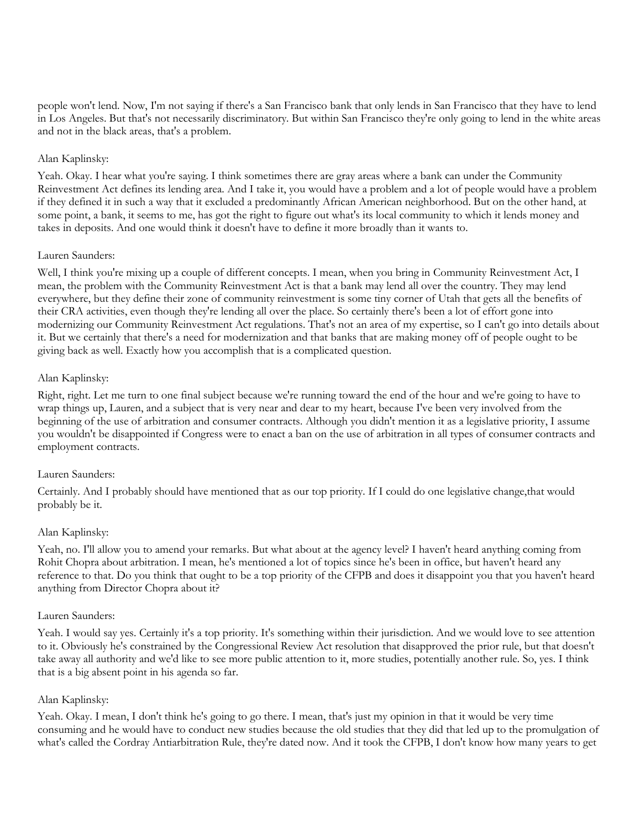people won't lend. Now, I'm not saying if there's a San Francisco bank that only lends in San Francisco that they have to lend in Los Angeles. But that's not necessarily discriminatory. But within San Francisco they're only going to lend in the white areas and not in the black areas, that's a problem.

## Alan Kaplinsky:

Yeah. Okay. I hear what you're saying. I think sometimes there are gray areas where a bank can under the Community Reinvestment Act defines its lending area. And I take it, you would have a problem and a lot of people would have a problem if they defined it in such a way that it excluded a predominantly African American neighborhood. But on the other hand, at some point, a bank, it seems to me, has got the right to figure out what's its local community to which it lends money and takes in deposits. And one would think it doesn't have to define it more broadly than it wants to.

## Lauren Saunders:

Well, I think you're mixing up a couple of different concepts. I mean, when you bring in Community Reinvestment Act, I mean, the problem with the Community Reinvestment Act is that a bank may lend all over the country. They may lend everywhere, but they define their zone of community reinvestment is some tiny corner of Utah that gets all the benefits of their CRA activities, even though they're lending all over the place. So certainly there's been a lot of effort gone into modernizing our Community Reinvestment Act regulations. That's not an area of my expertise, so I can't go into details about it. But we certainly that there's a need for modernization and that banks that are making money off of people ought to be giving back as well. Exactly how you accomplish that is a complicated question.

## Alan Kaplinsky:

Right, right. Let me turn to one final subject because we're running toward the end of the hour and we're going to have to wrap things up, Lauren, and a subject that is very near and dear to my heart, because I've been very involved from the beginning of the use of arbitration and consumer contracts. Although you didn't mention it as a legislative priority, I assume you wouldn't be disappointed if Congress were to enact a ban on the use of arbitration in all types of consumer contracts and employment contracts.

## Lauren Saunders:

Certainly. And I probably should have mentioned that as our top priority. If I could do one legislative change,that would probably be it.

## Alan Kaplinsky:

Yeah, no. I'll allow you to amend your remarks. But what about at the agency level? I haven't heard anything coming from Rohit Chopra about arbitration. I mean, he's mentioned a lot of topics since he's been in office, but haven't heard any reference to that. Do you think that ought to be a top priority of the CFPB and does it disappoint you that you haven't heard anything from Director Chopra about it?

## Lauren Saunders:

Yeah. I would say yes. Certainly it's a top priority. It's something within their jurisdiction. And we would love to see attention to it. Obviously he's constrained by the Congressional Review Act resolution that disapproved the prior rule, but that doesn't take away all authority and we'd like to see more public attention to it, more studies, potentially another rule. So, yes. I think that is a big absent point in his agenda so far.

## Alan Kaplinsky:

Yeah. Okay. I mean, I don't think he's going to go there. I mean, that's just my opinion in that it would be very time consuming and he would have to conduct new studies because the old studies that they did that led up to the promulgation of what's called the Cordray Antiarbitration Rule, they're dated now. And it took the CFPB, I don't know how many years to get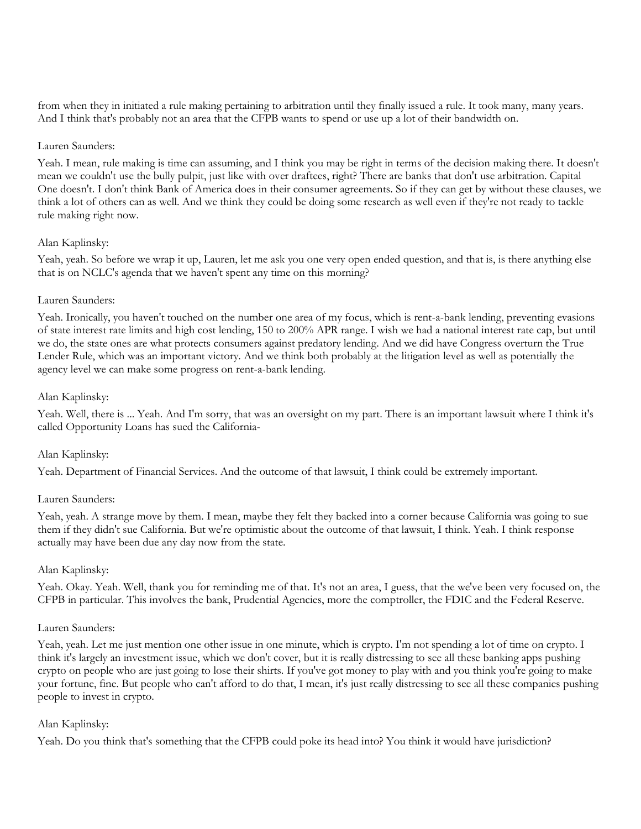from when they in initiated a rule making pertaining to arbitration until they finally issued a rule. It took many, many years. And I think that's probably not an area that the CFPB wants to spend or use up a lot of their bandwidth on.

#### Lauren Saunders:

Yeah. I mean, rule making is time can assuming, and I think you may be right in terms of the decision making there. It doesn't mean we couldn't use the bully pulpit, just like with over draftees, right? There are banks that don't use arbitration. Capital One doesn't. I don't think Bank of America does in their consumer agreements. So if they can get by without these clauses, we think a lot of others can as well. And we think they could be doing some research as well even if they're not ready to tackle rule making right now.

#### Alan Kaplinsky:

Yeah, yeah. So before we wrap it up, Lauren, let me ask you one very open ended question, and that is, is there anything else that is on NCLC's agenda that we haven't spent any time on this morning?

## Lauren Saunders:

Yeah. Ironically, you haven't touched on the number one area of my focus, which is rent-a-bank lending, preventing evasions of state interest rate limits and high cost lending, 150 to 200% APR range. I wish we had a national interest rate cap, but until we do, the state ones are what protects consumers against predatory lending. And we did have Congress overturn the True Lender Rule, which was an important victory. And we think both probably at the litigation level as well as potentially the agency level we can make some progress on rent-a-bank lending.

#### Alan Kaplinsky:

Yeah. Well, there is ... Yeah. And I'm sorry, that was an oversight on my part. There is an important lawsuit where I think it's called Opportunity Loans has sued the California-

## Alan Kaplinsky:

Yeah. Department of Financial Services. And the outcome of that lawsuit, I think could be extremely important.

## Lauren Saunders:

Yeah, yeah. A strange move by them. I mean, maybe they felt they backed into a corner because California was going to sue them if they didn't sue California. But we're optimistic about the outcome of that lawsuit, I think. Yeah. I think response actually may have been due any day now from the state.

#### Alan Kaplinsky:

Yeah. Okay. Yeah. Well, thank you for reminding me of that. It's not an area, I guess, that the we've been very focused on, the CFPB in particular. This involves the bank, Prudential Agencies, more the comptroller, the FDIC and the Federal Reserve.

#### Lauren Saunders:

Yeah, yeah. Let me just mention one other issue in one minute, which is crypto. I'm not spending a lot of time on crypto. I think it's largely an investment issue, which we don't cover, but it is really distressing to see all these banking apps pushing crypto on people who are just going to lose their shirts. If you've got money to play with and you think you're going to make your fortune, fine. But people who can't afford to do that, I mean, it's just really distressing to see all these companies pushing people to invest in crypto.

#### Alan Kaplinsky:

Yeah. Do you think that's something that the CFPB could poke its head into? You think it would have jurisdiction?